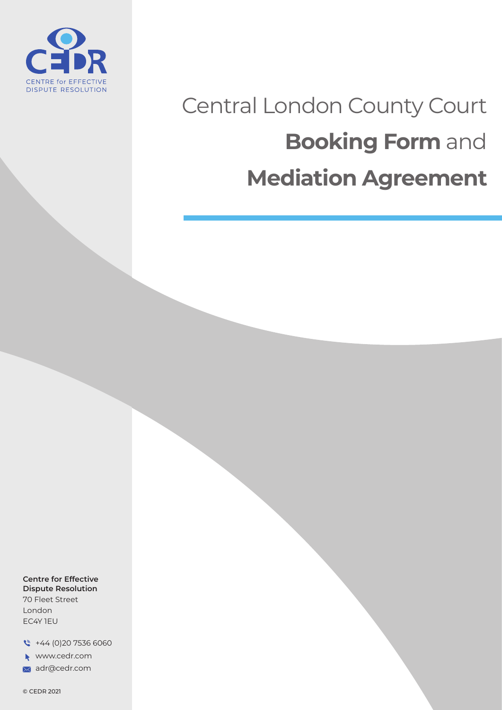

# Central London County Court **Booking Form** and **Mediation Agreement**

**Centre for Effective Dispute Resolution** 70 Fleet Street

London EC4Y 1EU

 $\sqrt{ }$  +44 (0) 20 7536 6060

www.cedr.com

adr@cedr.com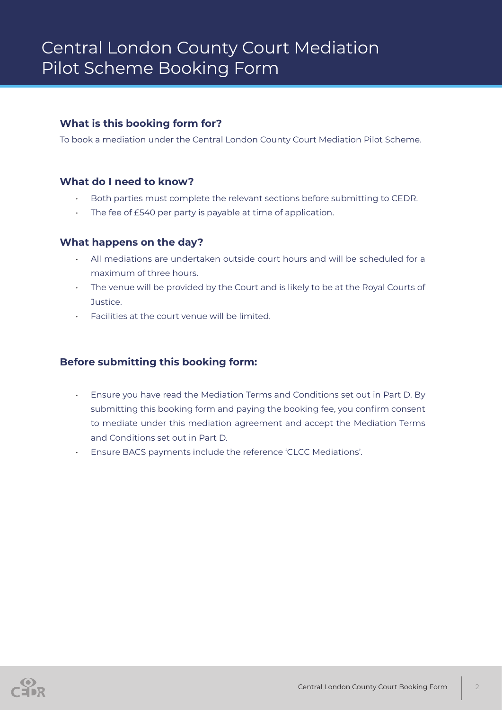### **What is this booking form for?**

To book a mediation under the Central London County Court Mediation Pilot Scheme.

#### **What do I need to know?**

- Both parties must complete the relevant sections before submitting to CEDR.
- The fee of £540 per party is payable at time of application.

#### **What happens on the day?**

- All mediations are undertaken outside court hours and will be scheduled for a maximum of three hours.
- The venue will be provided by the Court and is likely to be at the Royal Courts of Justice.
- Facilities at the court venue will be limited.

#### **Before submitting this booking form:**

- Ensure you have read the Mediation Terms and Conditions set out in Part D. By submitting this booking form and paying the booking fee, you confirm consent to mediate under this mediation agreement and accept the Mediation Terms and Conditions set out in Part D.
- Ensure BACS payments include the reference 'CLCC Mediations'.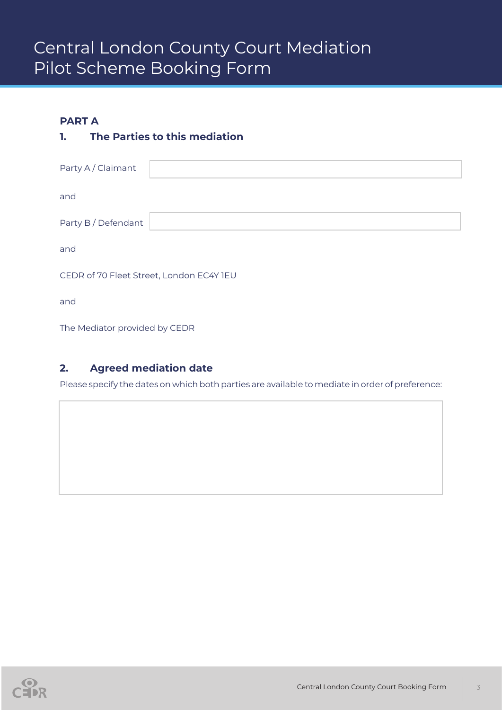### **PART A**

## **1. The Parties to this mediation**

| Party A / Claimant                       |  |
|------------------------------------------|--|
| and                                      |  |
| Party B / Defendant                      |  |
| and                                      |  |
| CEDR of 70 Fleet Street, London EC4Y 1EU |  |
| and                                      |  |
|                                          |  |

The Mediator provided by CEDR

## **2. Agreed mediation date**

Please specify the dates on which both parties are available to mediate in order of preference: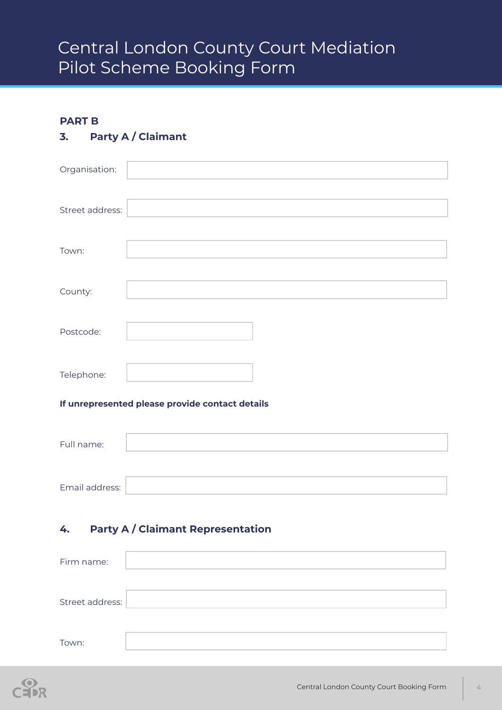### **PART B**

# **3. Party A / Claimant**

| Organisation:   |  |
|-----------------|--|
| Street address: |  |
| Town:           |  |
| County:         |  |
| Postcode:       |  |
| Telephone:      |  |

#### **If unrepresented please provide contact details**

| Full name:     |  |
|----------------|--|
|                |  |
| Email address: |  |

## **4. Party A / Claimant Representation**

| Firm name:      |  |
|-----------------|--|
|                 |  |
| Street address: |  |
|                 |  |
| Town:           |  |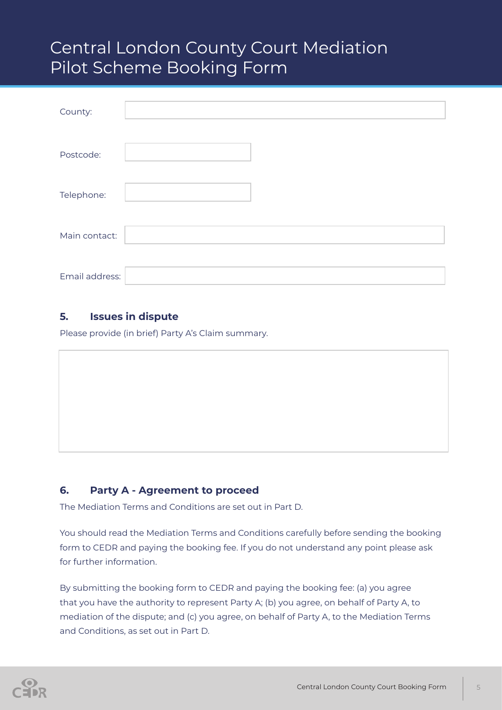| County:        |  |
|----------------|--|
| Postcode:      |  |
| Telephone:     |  |
| Main contact:  |  |
| Email address: |  |

### **5. Issues in dispute**

Please provide (in brief) Party A's Claim summary.

## **6. Party A - Agreement to proceed**

The Mediation Terms and Conditions are set out in Part D.

You should read the Mediation Terms and Conditions carefully before sending the booking form to CEDR and paying the booking fee. If you do not understand any point please ask for further information.

By submitting the booking form to CEDR and paying the booking fee: (a) you agree that you have the authority to represent Party A; (b) you agree, on behalf of Party A, to mediation of the dispute; and (c) you agree, on behalf of Party A, to the Mediation Terms and Conditions, as set out in Part D.

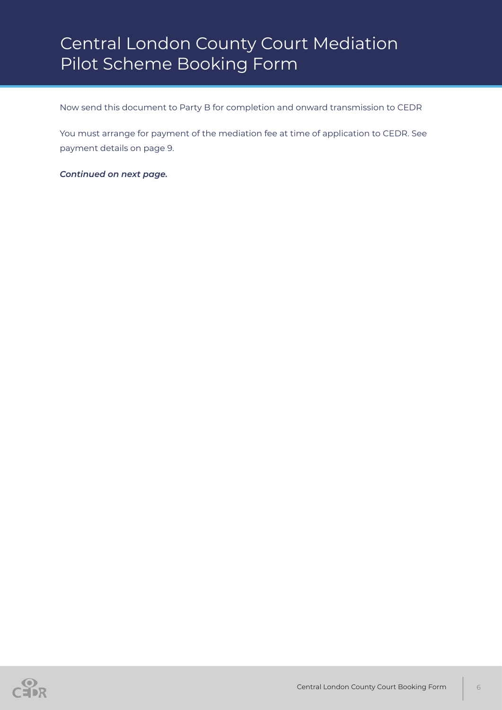Now send this document to Party B for completion and onward transmission to CEDR

You must arrange for payment of the mediation fee at time of application to CEDR. See payment details on page 9.

*Continued on next page.*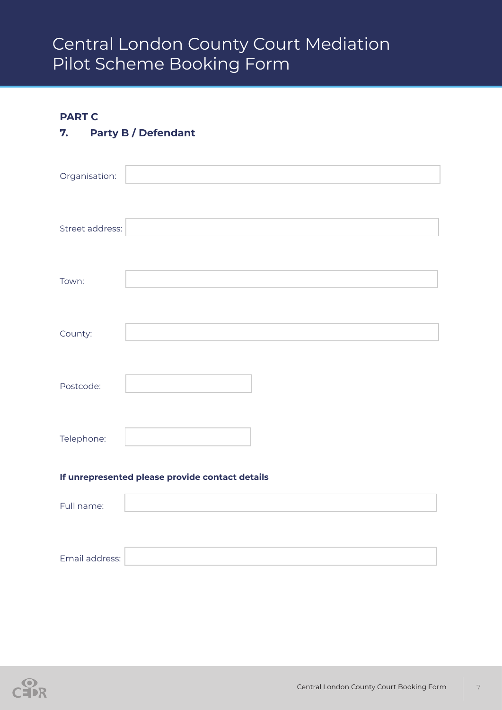### **PART C**

# **7. Party B / Defendant**

| Organisation:                                   |  |  |
|-------------------------------------------------|--|--|
|                                                 |  |  |
| Street address:                                 |  |  |
|                                                 |  |  |
| Town:                                           |  |  |
|                                                 |  |  |
| County:                                         |  |  |
|                                                 |  |  |
| Postcode:                                       |  |  |
|                                                 |  |  |
| Telephone:                                      |  |  |
| If unrepresented please provide contact details |  |  |
| Full name:                                      |  |  |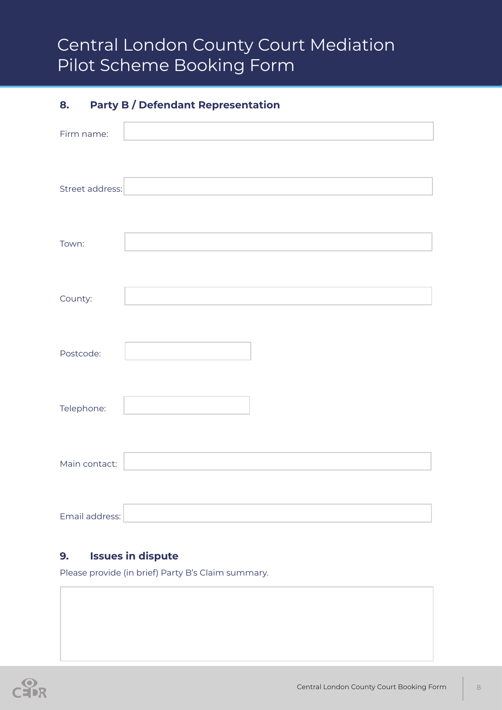# **8. Party B / Defendant Representation**

| Firm name:      |  |
|-----------------|--|
|                 |  |
| Street address: |  |
|                 |  |
|                 |  |
| Town:           |  |
|                 |  |
| County:         |  |
|                 |  |
|                 |  |
| Postcode:       |  |
|                 |  |
| Telephone:      |  |
|                 |  |
| Main contact:   |  |
|                 |  |
| Email address:  |  |

### **9. Issues in dispute**

Please provide (in brief) Party B's Claim summary.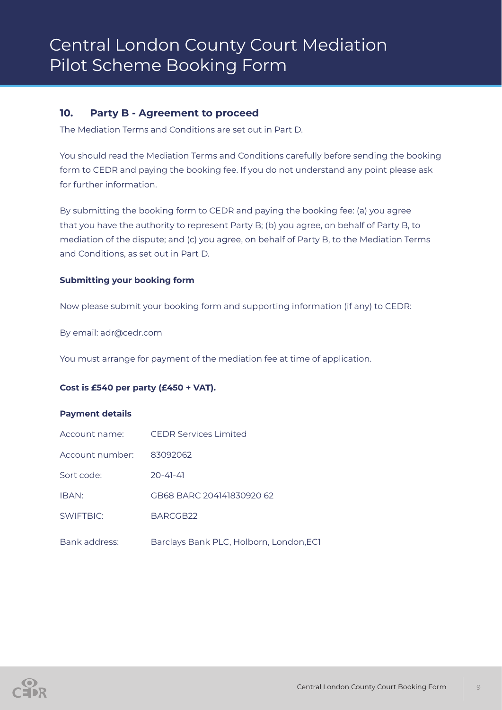#### **10. Party B - Agreement to proceed**

The Mediation Terms and Conditions are set out in Part D.

You should read the Mediation Terms and Conditions carefully before sending the booking form to CEDR and paying the booking fee. If you do not understand any point please ask for further information.

By submitting the booking form to CEDR and paying the booking fee: (a) you agree that you have the authority to represent Party B; (b) you agree, on behalf of Party B, to mediation of the dispute; and (c) you agree, on behalf of Party B, to the Mediation Terms and Conditions, as set out in Part D.

#### **Submitting your booking form**

Now please submit your booking form and supporting information (if any) to CEDR:

By email: adr@cedr.com

You must arrange for payment of the mediation fee at time of application.

#### **Cost is £540 per party (£450 + VAT).**

#### **Payment details**

| Account name:   | CEDR Services Limited                   |
|-----------------|-----------------------------------------|
| Account number: | 83092062                                |
| Sort code:      | $70 - 41 - 41$                          |
| IBAN:           | GB68 BARC 204141830920 62               |
| SWIFTBIC:       | BARCGB22                                |
| Bank address:   | Barclays Bank PLC, Holborn, London, ECT |

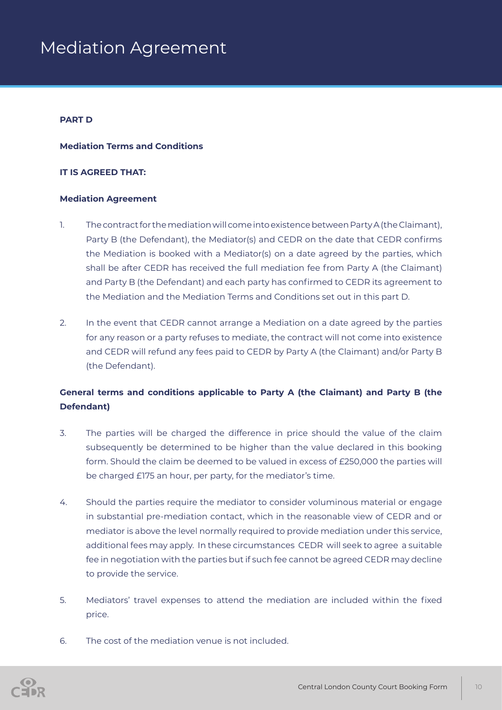#### **PART D**

#### **Mediation Terms and Conditions**

#### **IT IS AGREED THAT:**

#### **Mediation Agreement**

- 1. The contract for the mediation will come into existence between Party A (the Claimant), Party B (the Defendant), the Mediator(s) and CEDR on the date that CEDR confirms the Mediation is booked with a Mediator(s) on a date agreed by the parties, which shall be after CEDR has received the full mediation fee from Party A (the Claimant) and Party B (the Defendant) and each party has confirmed to CEDR its agreement to the Mediation and the Mediation Terms and Conditions set out in this part D.
- 2. In the event that CEDR cannot arrange a Mediation on a date agreed by the parties for any reason or a party refuses to mediate, the contract will not come into existence and CEDR will refund any fees paid to CEDR by Party A (the Claimant) and/or Party B (the Defendant).

### **General terms and conditions applicable to Party A (the Claimant) and Party B (the Defendant)**

- 3. The parties will be charged the difference in price should the value of the claim subsequently be determined to be higher than the value declared in this booking form. Should the claim be deemed to be valued in excess of £250,000 the parties will be charged £175 an hour, per party, for the mediator's time.
- 4. Should the parties require the mediator to consider voluminous material or engage in substantial pre-mediation contact, which in the reasonable view of CEDR and or mediator is above the level normally required to provide mediation under this service, additional fees may apply. In these circumstances CEDR will seek to agree a suitable fee in negotiation with the parties but if such fee cannot be agreed CEDR may decline to provide the service.
- 5. Mediators' travel expenses to attend the mediation are included within the fixed price.
- 6. The cost of the mediation venue is not included.

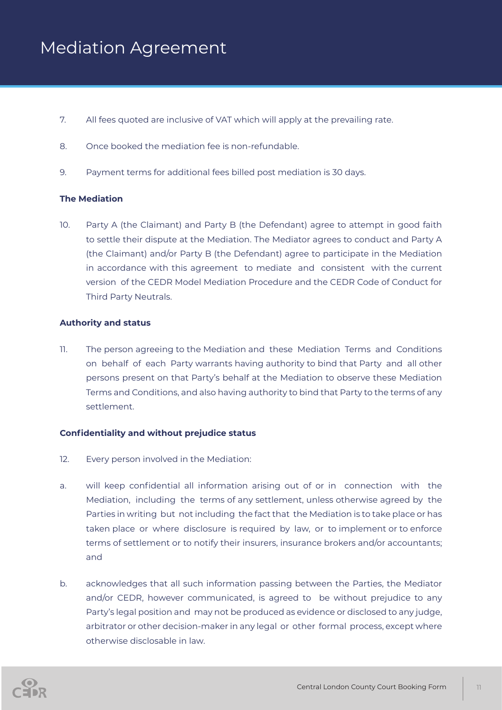- 7. All fees quoted are inclusive of VAT which will apply at the prevailing rate.
- 8. Once booked the mediation fee is non-refundable.
- 9. Payment terms for additional fees billed post mediation is 30 days.

#### **The Mediation**

10. Party A (the Claimant) and Party B (the Defendant) agree to attempt in good faith to settle their dispute at the Mediation. The Mediator agrees to conduct and Party A (the Claimant) and/or Party B (the Defendant) agree to participate in the Mediation in accordance with this agreement to mediate and consistent with the current version of the CEDR Model Mediation Procedure and the CEDR Code of Conduct for Third Party Neutrals.

#### **Authority and status**

11. The person agreeing to the Mediation and these Mediation Terms and Conditions on behalf of each Party warrants having authority to bind that Party and all other persons present on that Party's behalf at the Mediation to observe these Mediation Terms and Conditions, and also having authority to bind that Party to the terms of any settlement.

#### **Confidentiality and without prejudice status**

- 12. Every person involved in the Mediation:
- a. will keep confidential all information arising out of or in connection with the Mediation, including the terms of any settlement, unless otherwise agreed by the Parties in writing but not including the fact that the Mediation is to take place or has taken place or where disclosure is required by law, or to implement or to enforce terms of settlement or to notify their insurers, insurance brokers and/or accountants; and
- b. acknowledges that all such information passing between the Parties, the Mediator and/or CEDR, however communicated, is agreed to be without prejudice to any Party's legal position and may not be produced as evidence or disclosed to any judge, arbitrator or other decision-maker in any legal or other formal process, except where otherwise disclosable in law.

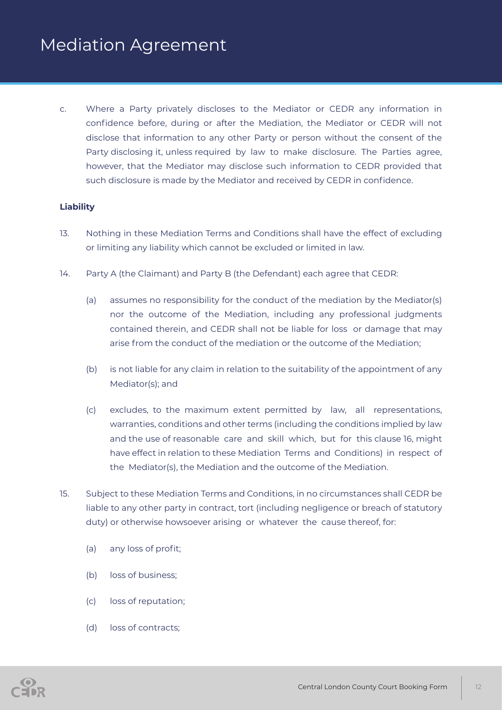c. Where a Party privately discloses to the Mediator or CEDR any information in confidence before, during or after the Mediation, the Mediator or CEDR will not disclose that information to any other Party or person without the consent of the Party disclosing it, unless required by law to make disclosure. The Parties agree, however, that the Mediator may disclose such information to CEDR provided that such disclosure is made by the Mediator and received by CEDR in confidence.

#### **Liability**

- 13. Nothing in these Mediation Terms and Conditions shall have the effect of excluding or limiting any liability which cannot be excluded or limited in law.
- 14. Party A (the Claimant) and Party B (the Defendant) each agree that CEDR:
	- (a) assumes no responsibility for the conduct of the mediation by the Mediator(s) nor the outcome of the Mediation, including any professional judgments contained therein, and CEDR shall not be liable for loss or damage that may arise from the conduct of the mediation or the outcome of the Mediation;
	- (b) is not liable for any claim in relation to the suitability of the appointment of any Mediator(s); and
	- (c) excludes, to the maximum extent permitted by law, all representations, warranties, conditions and other terms (including the conditions implied by law and the use of reasonable care and skill which, but for this clause 16, might have effect in relation to these Mediation Terms and Conditions) in respect of the Mediator(s), the Mediation and the outcome of the Mediation.
- 15. Subject to these Mediation Terms and Conditions, in no circumstances shall CEDR be liable to any other party in contract, tort (including negligence or breach of statutory duty) or otherwise howsoever arising or whatever the cause thereof, for:
	- (a) any loss of profit;
	- (b) loss of business;
	- (c) loss of reputation;
	- (d) loss of contracts;

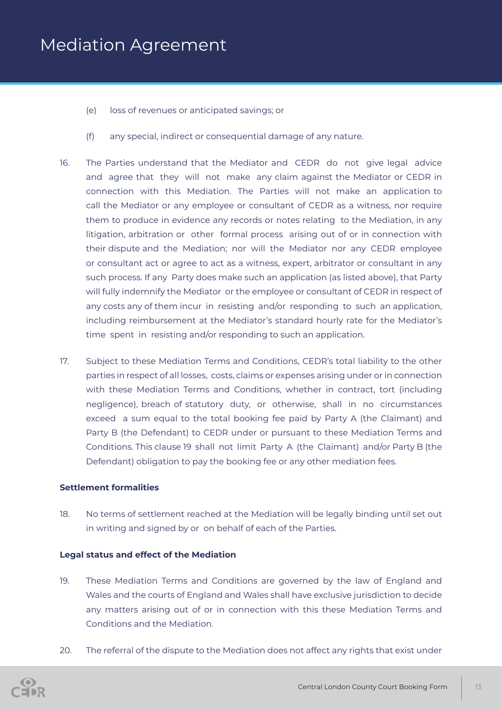- (e) loss of revenues or anticipated savings; or
- (f) any special, indirect or consequential damage of any nature.
- 16. The Parties understand that the Mediator and CEDR do not give legal advice and agree that they will not make any claim against the Mediator or CEDR in connection with this Mediation. The Parties will not make an application to call the Mediator or any employee or consultant of CEDR as a witness, nor require them to produce in evidence any records or notes relating to the Mediation, in any litigation, arbitration or other formal process arising out of or in connection with their dispute and the Mediation; nor will the Mediator nor any CEDR employee or consultant act or agree to act as a witness, expert, arbitrator or consultant in any such process. If any Party does make such an application (as listed above), that Party will fully indemnify the Mediator or the employee or consultant of CEDR in respect of any costs any of them incur in resisting and/or responding to such an application, including reimbursement at the Mediator's standard hourly rate for the Mediator's time spent in resisting and/or responding to such an application.
- 17. Subject to these Mediation Terms and Conditions, CEDR's total liability to the other parties in respect of all losses, costs, claims or expenses arising under or in connection with these Mediation Terms and Conditions, whether in contract, tort (including negligence), breach of statutory duty, or otherwise, shall in no circumstances exceed a sum equal to the total booking fee paid by Party A (the Claimant) and Party B (the Defendant) to CEDR under or pursuant to these Mediation Terms and Conditions. This clause 19 shall not limit Party A (the Claimant) and/or Party B (the Defendant) obligation to pay the booking fee or any other mediation fees.

#### **Settlement formalities**

18. No terms of settlement reached at the Mediation will be legally binding until set out in writing and signed by or on behalf of each of the Parties.

#### **Legal status and effect of the Mediation**

- 19. These Mediation Terms and Conditions are governed by the law of England and Wales and the courts of England and Wales shall have exclusive jurisdiction to decide any matters arising out of or in connection with this these Mediation Terms and Conditions and the Mediation.
- 20. The referral of the dispute to the Mediation does not affect any rights that exist under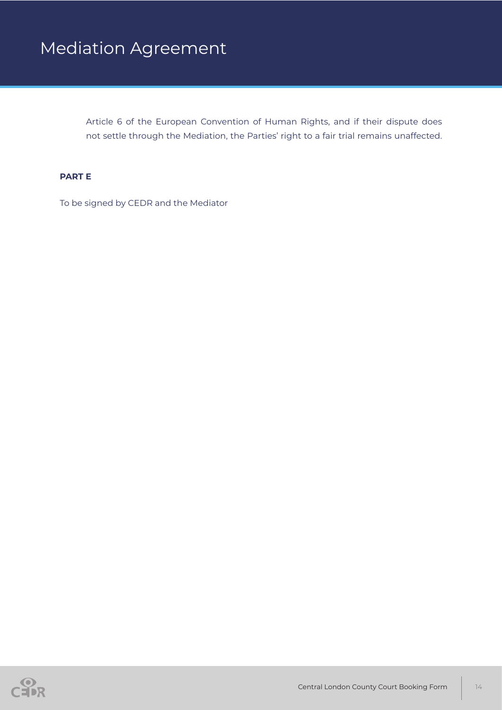Article 6 of the European Convention of Human Rights, and if their dispute does not settle through the Mediation, the Parties' right to a fair trial remains unaffected.

#### **PART E**

To be signed by CEDR and the Mediator